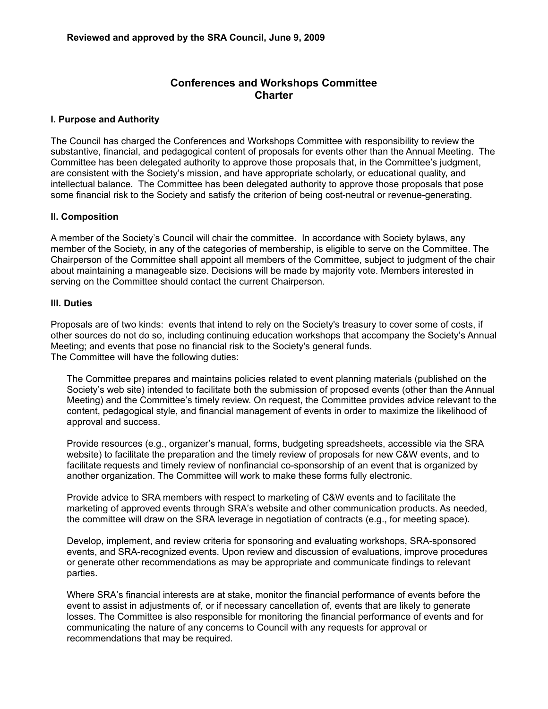## **Conferences and Workshops Committee Charter**

## **I. Purpose and Authority**

The Council has charged the Conferences and Workshops Committee with responsibility to review the substantive, financial, and pedagogical content of proposals for events other than the Annual Meeting. The Committee has been delegated authority to approve those proposals that, in the Committee's judgment, are consistent with the Society's mission, and have appropriate scholarly, or educational quality, and intellectual balance. The Committee has been delegated authority to approve those proposals that pose some financial risk to the Society and satisfy the criterion of being cost-neutral or revenue-generating.

## **II. Composition**

A member of the Society's Council will chair the committee. In accordance with Society bylaws, any member of the Society, in any of the categories of membership, is eligible to serve on the Committee. The Chairperson of the Committee shall appoint all members of the Committee, subject to judgment of the chair about maintaining a manageable size. Decisions will be made by majority vote. Members interested in serving on the Committee should contact the current Chairperson.

## **III. Duties**

Proposals are of two kinds: events that intend to rely on the Society's treasury to cover some of costs, if other sources do not do so, including continuing education workshops that accompany the Society's Annual Meeting; and events that pose no financial risk to the Society's general funds. The Committee will have the following duties:

The Committee prepares and maintains policies related to event planning materials (published on the Society's web site) intended to facilitate both the submission of proposed events (other than the Annual Meeting) and the Committee's timely review. On request, the Committee provides advice relevant to the content, pedagogical style, and financial management of events in order to maximize the likelihood of approval and success.

Provide resources (e.g., organizer's manual, forms, budgeting spreadsheets, accessible via the SRA website) to facilitate the preparation and the timely review of proposals for new C&W events, and to facilitate requests and timely review of nonfinancial co-sponsorship of an event that is organized by another organization. The Committee will work to make these forms fully electronic.

Provide advice to SRA members with respect to marketing of C&W events and to facilitate the marketing of approved events through SRA's website and other communication products. As needed, the committee will draw on the SRA leverage in negotiation of contracts (e.g., for meeting space).

Develop, implement, and review criteria for sponsoring and evaluating workshops, SRA-sponsored events, and SRA-recognized events. Upon review and discussion of evaluations, improve procedures or generate other recommendations as may be appropriate and communicate findings to relevant parties.

Where SRA's financial interests are at stake, monitor the financial performance of events before the event to assist in adjustments of, or if necessary cancellation of, events that are likely to generate losses. The Committee is also responsible for monitoring the financial performance of events and for communicating the nature of any concerns to Council with any requests for approval or recommendations that may be required.